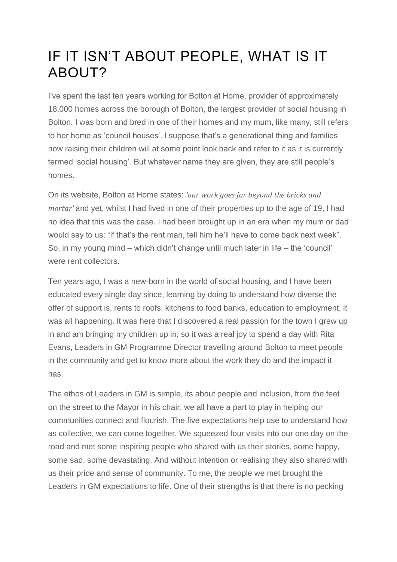# IF IT ISN'T ABOUT PEOPLE, WHAT IS IT ABOUT?

I've spent the last ten years working for Bolton at Home, provider of approximately 18,000 homes across the borough of Bolton, the largest provider of social housing in Bolton. I was born and bred in one of their homes and my mum, like many, still refers to her home as 'council houses'. I suppose that's a generational thing and families now raising their children will at some point look back and refer to it as it is currently termed 'social housing'. But whatever name they are given, they are still people's homes.

On its website, Bolton at Home states: *'our work goes far beyond the bricks and mortar'* and yet, whilst I had lived in one of their properties up to the age of 19, I had no idea that this was the case. I had been brought up in an era when my mum or dad would say to us: "if that's the rent man, tell him he'll have to come back next week". So, in my young mind – which didn't change until much later in life – the 'council' were rent collectors.

Ten years ago, I was a new-born in the world of social housing, and I have been educated every single day since, learning by doing to understand how diverse the offer of support is, rents to roofs, kitchens to food banks, education to employment, it was all happening. It was here that I discovered a real passion for the town I grew up in and am bringing my children up in, so it was a real joy to spend a day with Rita Evans, Leaders in GM Programme Director travelling around Bolton to meet people in the community and get to know more about the work they do and the impact it has.

The ethos of Leaders in GM is simple, its about people and inclusion, from the feet on the street to the Mayor in his chair, we all have a part to play in helping our communities connect and flourish. The five expectations help use to understand how as collective, we can come together. We squeezed four visits into our one day on the road and met some inspiring people who shared with us their stories, some happy, some sad, some devastating. And without intention or realising they also shared with us their pride and sense of community. To me, the people we met brought the Leaders in GM expectations to life. One of their strengths is that there is no pecking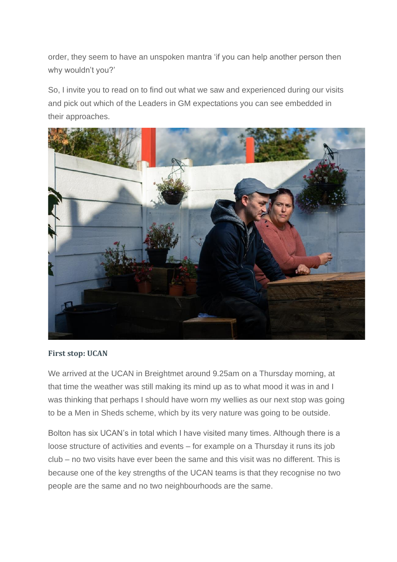order, they seem to have an unspoken mantra 'if you can help another person then why wouldn't you?'

So, I invite you to read on to find out what we saw and experienced during our visits and pick out which of the Leaders in GM expectations you can see embedded in their approaches.



#### **First stop: UCAN**

We arrived at the UCAN in Breightmet around 9.25am on a Thursday morning, at that time the weather was still making its mind up as to what mood it was in and I was thinking that perhaps I should have worn my wellies as our next stop was going to be a Men in Sheds scheme, which by its very nature was going to be outside.

Bolton has six UCAN's in total which I have visited many times. Although there is a loose structure of activities and events – for example on a Thursday it runs its job club – no two visits have ever been the same and this visit was no different. This is because one of the key strengths of the UCAN teams is that they recognise no two people are the same and no two neighbourhoods are the same.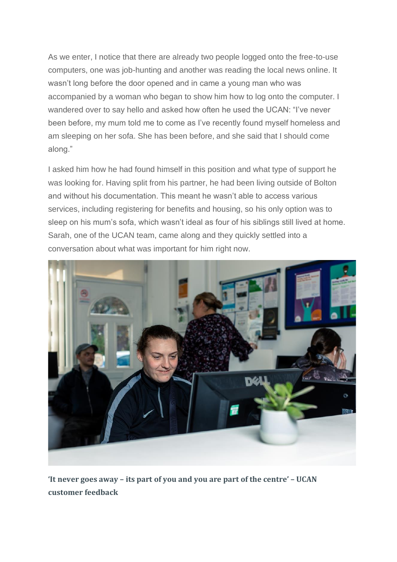As we enter, I notice that there are already two people logged onto the free-to-use computers, one was job-hunting and another was reading the local news online. It wasn't long before the door opened and in came a young man who was accompanied by a woman who began to show him how to log onto the computer. I wandered over to say hello and asked how often he used the UCAN: "I've never been before, my mum told me to come as I've recently found myself homeless and am sleeping on her sofa. She has been before, and she said that I should come along."

I asked him how he had found himself in this position and what type of support he was looking for. Having split from his partner, he had been living outside of Bolton and without his documentation. This meant he wasn't able to access various services, including registering for benefits and housing, so his only option was to sleep on his mum's sofa, which wasn't ideal as four of his siblings still lived at home. Sarah, one of the UCAN team, came along and they quickly settled into a conversation about what was important for him right now.



**'It never goes away – its part of you and you are part of the centre' – UCAN customer feedback**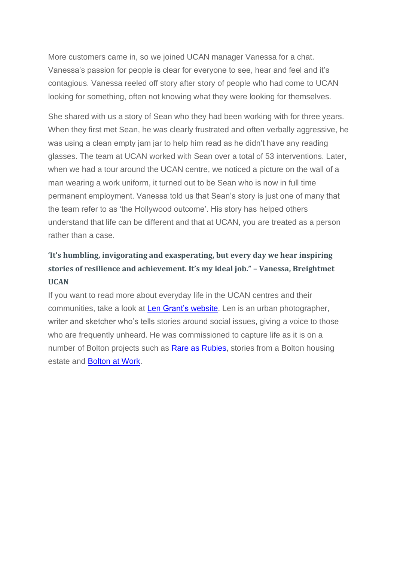More customers came in, so we joined UCAN manager Vanessa for a chat. Vanessa's passion for people is clear for everyone to see, hear and feel and it's contagious. Vanessa reeled off story after story of people who had come to UCAN looking for something, often not knowing what they were looking for themselves.

She shared with us a story of Sean who they had been working with for three years. When they first met Sean, he was clearly frustrated and often verbally aggressive, he was using a clean empty jam jar to help him read as he didn't have any reading glasses. The team at UCAN worked with Sean over a total of 53 interventions. Later, when we had a tour around the UCAN centre, we noticed a picture on the wall of a man wearing a work uniform, it turned out to be Sean who is now in full time permanent employment. Vanessa told us that Sean's story is just one of many that the team refer to as 'the Hollywood outcome'. His story has helped others understand that life can be different and that at UCAN, you are treated as a person rather than a case.

## **'It's humbling, invigorating and exasperating, but every day we hear inspiring stories of resilience and achievement. It's my ideal job." – Vanessa, Breightmet UCAN**

If you want to read more about everyday life in the UCAN centres and their communities, take a look at Len Grant's [website.](http://www.lengrant.co.uk/) Len is an urban photographer, writer and sketcher who's tells stories around social issues, giving a voice to those who are frequently unheard. He was commissioned to capture life as it is on a number of Bolton projects such as Rare as [Rubies,](http://www.asrareasrubies.org/) stories from a Bolton housing estate and [Bolton](http://www.lengrant.co.uk/work/boltonatwork) at Work.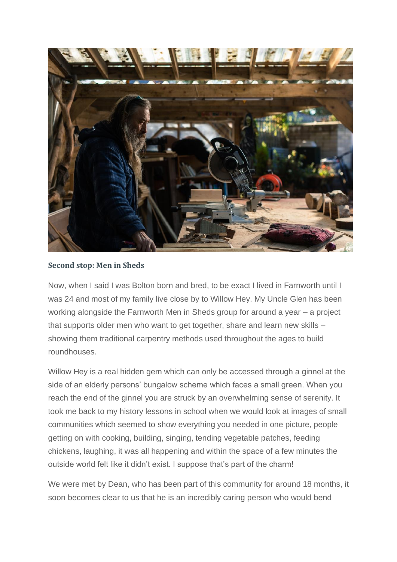

#### **Second stop: Men in Sheds**

Now, when I said I was Bolton born and bred, to be exact I lived in Farnworth until I was 24 and most of my family live close by to Willow Hey. My Uncle Glen has been working alongside the Farnworth Men in Sheds group for around a year – a project that supports older men who want to get together, share and learn new skills – showing them traditional carpentry methods used throughout the ages to build roundhouses.

Willow Hey is a real hidden gem which can only be accessed through a ginnel at the side of an elderly persons' bungalow scheme which faces a small green. When you reach the end of the ginnel you are struck by an overwhelming sense of serenity. It took me back to my history lessons in school when we would look at images of small communities which seemed to show everything you needed in one picture, people getting on with cooking, building, singing, tending vegetable patches, feeding chickens, laughing, it was all happening and within the space of a few minutes the outside world felt like it didn't exist. I suppose that's part of the charm!

We were met by Dean, who has been part of this community for around 18 months, it soon becomes clear to us that he is an incredibly caring person who would bend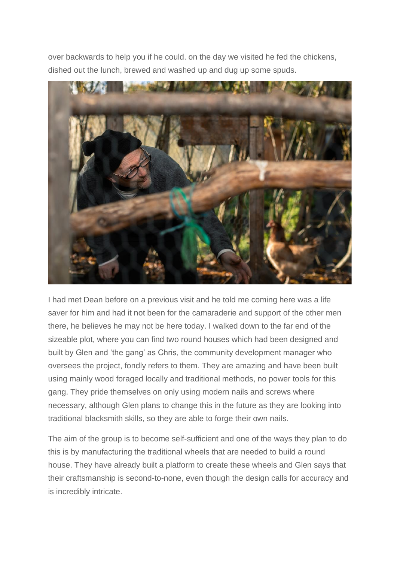over backwards to help you if he could. on the day we visited he fed the chickens, dished out the lunch, brewed and washed up and dug up some spuds.



I had met Dean before on a previous visit and he told me coming here was a life saver for him and had it not been for the camaraderie and support of the other men there, he believes he may not be here today. I walked down to the far end of the sizeable plot, where you can find two round houses which had been designed and built by Glen and 'the gang' as Chris, the community development manager who oversees the project, fondly refers to them. They are amazing and have been built using mainly wood foraged locally and traditional methods, no power tools for this gang. They pride themselves on only using modern nails and screws where necessary, although Glen plans to change this in the future as they are looking into traditional blacksmith skills, so they are able to forge their own nails.

The aim of the group is to become self-sufficient and one of the ways they plan to do this is by manufacturing the traditional wheels that are needed to build a round house. They have already built a platform to create these wheels and Glen says that their craftsmanship is second-to-none, even though the design calls for accuracy and is incredibly intricate.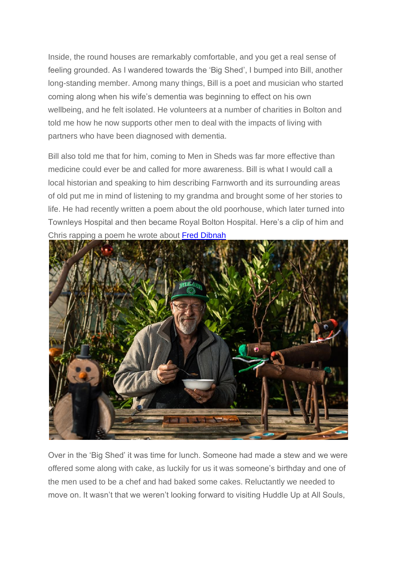Inside, the round houses are remarkably comfortable, and you get a real sense of feeling grounded. As I wandered towards the 'Big Shed', I bumped into Bill, another long-standing member. Among many things, Bill is a poet and musician who started coming along when his wife's dementia was beginning to effect on his own wellbeing, and he felt isolated. He volunteers at a number of charities in Bolton and told me how he now supports other men to deal with the impacts of living with partners who have been diagnosed with dementia.

Bill also told me that for him, coming to Men in Sheds was far more effective than medicine could ever be and called for more awareness. Bill is what I would call a local historian and speaking to him describing Farnworth and its surrounding areas of old put me in mind of listening to my grandma and brought some of her stories to life. He had recently written a poem about the old poorhouse, which later turned into Townleys Hospital and then became Royal Bolton Hospital. Here's a clip of him and Chris rapping a poem he wrote about Fred [Dibnah](https://twitter.com/leadersingm/status/1058056239123435523?s=21)



Over in the 'Big Shed' it was time for lunch. Someone had made a stew and we were offered some along with cake, as luckily for us it was someone's birthday and one of the men used to be a chef and had baked some cakes. Reluctantly we needed to move on. It wasn't that we weren't looking forward to visiting Huddle Up at All Souls,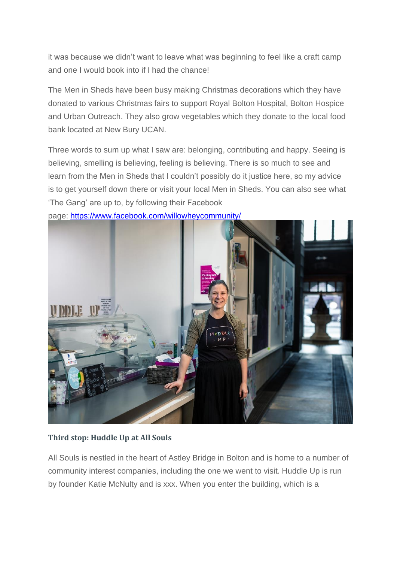it was because we didn't want to leave what was beginning to feel like a craft camp and one I would book into if I had the chance!

The Men in Sheds have been busy making Christmas decorations which they have donated to various Christmas fairs to support Royal Bolton Hospital, Bolton Hospice and Urban Outreach. They also grow vegetables which they donate to the local food bank located at New Bury UCAN.

Three words to sum up what I saw are: belonging, contributing and happy. Seeing is believing, smelling is believing, feeling is believing. There is so much to see and learn from the Men in Sheds that I couldn't possibly do it justice here, so my advice is to get yourself down there or visit your local Men in Sheds. You can also see what 'The Gang' are up to, by following their Facebook



page: <https://www.facebook.com/willowheycommunity/>

### **Third stop: Huddle Up at All Souls**

All Souls is nestled in the heart of Astley Bridge in Bolton and is home to a number of community interest companies, including the one we went to visit. Huddle Up is run by founder Katie McNulty and is xxx. When you enter the building, which is a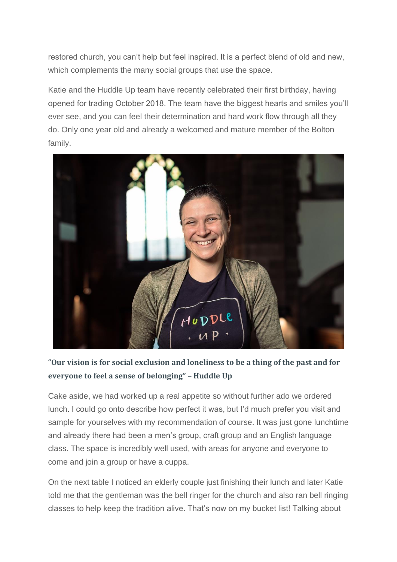restored church, you can't help but feel inspired. It is a perfect blend of old and new, which complements the many social groups that use the space.

Katie and the Huddle Up team have recently celebrated their first birthday, having opened for trading October 2018. The team have the biggest hearts and smiles you'll ever see, and you can feel their determination and hard work flow through all they do. Only one year old and already a welcomed and mature member of the Bolton family.



## **"Our vision is for social exclusion and loneliness to be a thing of the past and for everyone to feel a sense of belonging" – Huddle Up**

Cake aside, we had worked up a real appetite so without further ado we ordered lunch. I could go onto describe how perfect it was, but I'd much prefer you visit and sample for yourselves with my recommendation of course. It was just gone lunchtime and already there had been a men's group, craft group and an English language class. The space is incredibly well used, with areas for anyone and everyone to come and join a group or have a cuppa.

On the next table I noticed an elderly couple just finishing their lunch and later Katie told me that the gentleman was the bell ringer for the church and also ran bell ringing classes to help keep the tradition alive. That's now on my bucket list! Talking about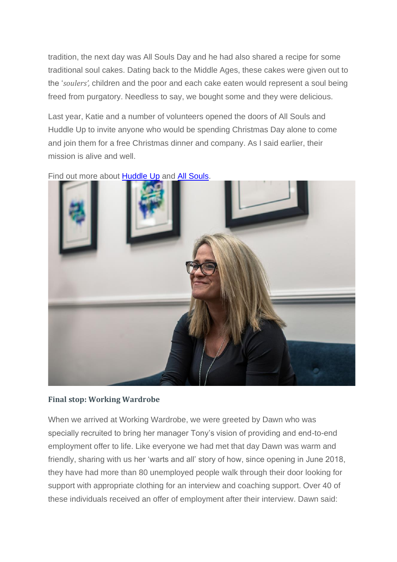tradition, the next day was All Souls Day and he had also shared a recipe for some traditional soul cakes. Dating back to the Middle Ages, these cakes were given out to the '*soulers',* children and the poor and each cake eaten would represent a soul being freed from purgatory. Needless to say, we bought some and they were delicious.

Last year, Katie and a number of volunteers opened the doors of All Souls and Huddle Up to invite anyone who would be spending Christmas Day alone to come and join them for a free Christmas dinner and company. As I said earlier, their mission is alive and well.



Find out more about [Huddle](https://m.facebook.com/HuddleUpAtAllSouls/) Up and All [Souls.](https://www.facebook.com/Allsoulsbolton/)

#### **Final stop: Working Wardrobe**

When we arrived at Working Wardrobe, we were greeted by Dawn who was specially recruited to bring her manager Tony's vision of providing and end-to-end employment offer to life. Like everyone we had met that day Dawn was warm and friendly, sharing with us her 'warts and all' story of how, since opening in June 2018, they have had more than 80 unemployed people walk through their door looking for support with appropriate clothing for an interview and coaching support. Over 40 of these individuals received an offer of employment after their interview. Dawn said: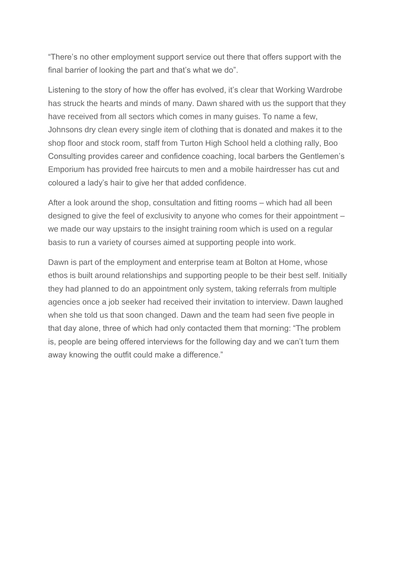"There's no other employment support service out there that offers support with the final barrier of looking the part and that's what we do".

Listening to the story of how the offer has evolved, it's clear that Working Wardrobe has struck the hearts and minds of many. Dawn shared with us the support that they have received from all sectors which comes in many guises. To name a few, Johnsons dry clean every single item of clothing that is donated and makes it to the shop floor and stock room, staff from Turton High School held a clothing rally, Boo Consulting provides career and confidence coaching, local barbers the Gentlemen's Emporium has provided free haircuts to men and a mobile hairdresser has cut and coloured a lady's hair to give her that added confidence.

After a look around the shop, consultation and fitting rooms – which had all been designed to give the feel of exclusivity to anyone who comes for their appointment – we made our way upstairs to the insight training room which is used on a regular basis to run a variety of courses aimed at supporting people into work.

Dawn is part of the employment and enterprise team at Bolton at Home, whose ethos is built around relationships and supporting people to be their best self. Initially they had planned to do an appointment only system, taking referrals from multiple agencies once a job seeker had received their invitation to interview. Dawn laughed when she told us that soon changed. Dawn and the team had seen five people in that day alone, three of which had only contacted them that morning: "The problem is, people are being offered interviews for the following day and we can't turn them away knowing the outfit could make a difference."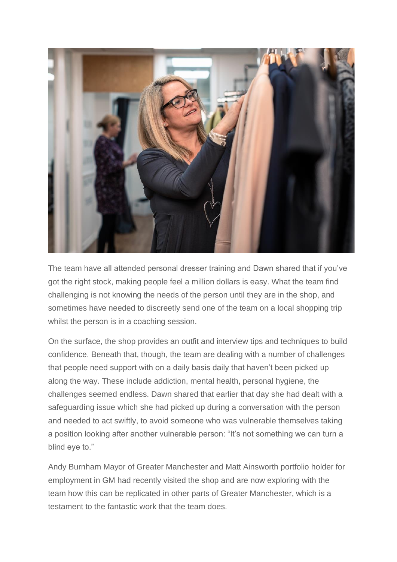

The team have all attended personal dresser training and Dawn shared that if you've got the right stock, making people feel a million dollars is easy. What the team find challenging is not knowing the needs of the person until they are in the shop, and sometimes have needed to discreetly send one of the team on a local shopping trip whilst the person is in a coaching session.

On the surface, the shop provides an outfit and interview tips and techniques to build confidence. Beneath that, though, the team are dealing with a number of challenges that people need support with on a daily basis daily that haven't been picked up along the way. These include addiction, mental health, personal hygiene, the challenges seemed endless. Dawn shared that earlier that day she had dealt with a safeguarding issue which she had picked up during a conversation with the person and needed to act swiftly, to avoid someone who was vulnerable themselves taking a position looking after another vulnerable person: "It's not something we can turn a blind eye to."

Andy Burnham Mayor of Greater Manchester and Matt Ainsworth portfolio holder for employment in GM had recently visited the shop and are now exploring with the team how this can be replicated in other parts of Greater Manchester, which is a testament to the fantastic work that the team does.